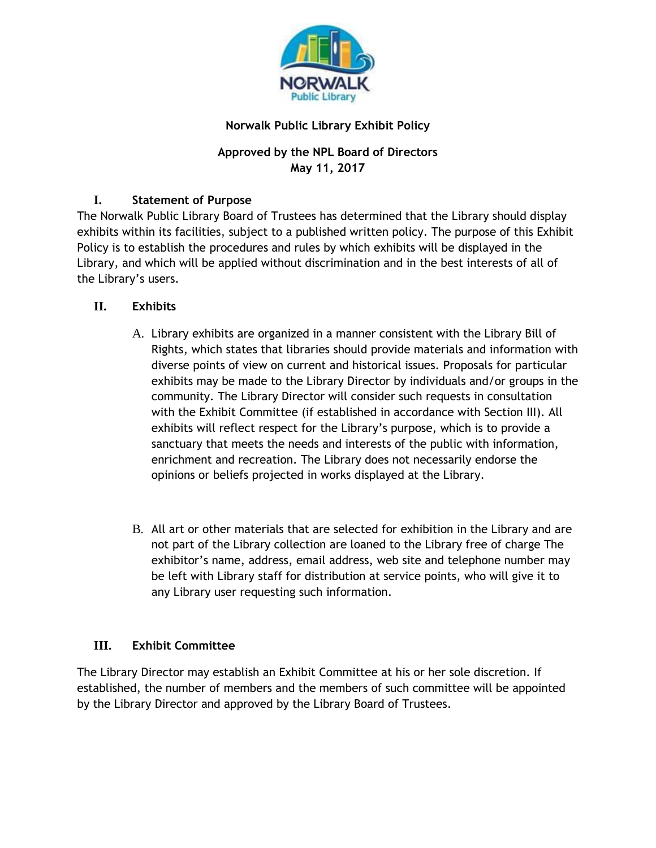

## **Norwalk Public Library Exhibit Policy**

# **Approved by the NPL Board of Directors May 11, 2017**

## **I. Statement of Purpose**

The Norwalk Public Library Board of Trustees has determined that the Library should display exhibits within its facilities, subject to a published written policy. The purpose of this Exhibit Policy is to establish the procedures and rules by which exhibits will be displayed in the Library, and which will be applied without discrimination and in the best interests of all of the Library's users.

## **II. Exhibits**

- A. Library exhibits are organized in a manner consistent with the Library Bill of Rights, which states that libraries should provide materials and information with diverse points of view on current and historical issues. Proposals for particular exhibits may be made to the Library Director by individuals and/or groups in the community. The Library Director will consider such requests in consultation with the Exhibit Committee (if established in accordance with Section III). All exhibits will reflect respect for the Library's purpose, which is to provide a sanctuary that meets the needs and interests of the public with information, enrichment and recreation. The Library does not necessarily endorse the opinions or beliefs projected in works displayed at the Library.
- B. All art or other materials that are selected for exhibition in the Library and are not part of the Library collection are loaned to the Library free of charge The exhibitor's name, address, email address, web site and telephone number may be left with Library staff for distribution at service points, who will give it to any Library user requesting such information.

## **III. Exhibit Committee**

The Library Director may establish an Exhibit Committee at his or her sole discretion. If established, the number of members and the members of such committee will be appointed by the Library Director and approved by the Library Board of Trustees.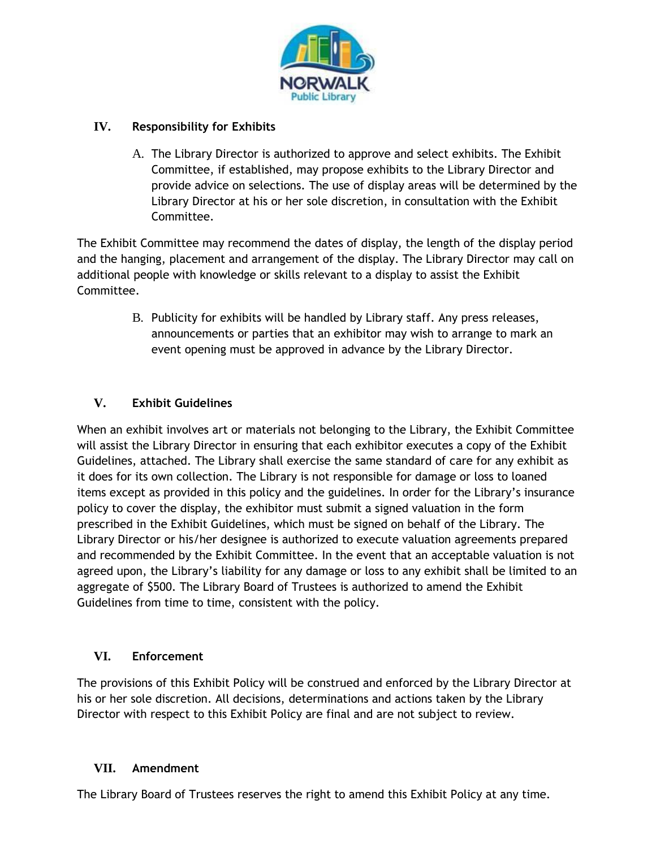

## **IV. Responsibility for Exhibits**

A. The Library Director is authorized to approve and select exhibits. The Exhibit Committee, if established, may propose exhibits to the Library Director and provide advice on selections. The use of display areas will be determined by the Library Director at his or her sole discretion, in consultation with the Exhibit Committee.

The Exhibit Committee may recommend the dates of display, the length of the display period and the hanging, placement and arrangement of the display. The Library Director may call on additional people with knowledge or skills relevant to a display to assist the Exhibit Committee.

> B. Publicity for exhibits will be handled by Library staff. Any press releases, announcements or parties that an exhibitor may wish to arrange to mark an event opening must be approved in advance by the Library Director.

# **V. Exhibit Guidelines**

When an exhibit involves art or materials not belonging to the Library, the Exhibit Committee will assist the Library Director in ensuring that each exhibitor executes a copy of the Exhibit Guidelines, attached. The Library shall exercise the same standard of care for any exhibit as it does for its own collection. The Library is not responsible for damage or loss to loaned items except as provided in this policy and the guidelines. In order for the Library's insurance policy to cover the display, the exhibitor must submit a signed valuation in the form prescribed in the Exhibit Guidelines, which must be signed on behalf of the Library. The Library Director or his/her designee is authorized to execute valuation agreements prepared and recommended by the Exhibit Committee. In the event that an acceptable valuation is not agreed upon, the Library's liability for any damage or loss to any exhibit shall be limited to an aggregate of \$500. The Library Board of Trustees is authorized to amend the Exhibit Guidelines from time to time, consistent with the policy.

## **VI. Enforcement**

The provisions of this Exhibit Policy will be construed and enforced by the Library Director at his or her sole discretion. All decisions, determinations and actions taken by the Library Director with respect to this Exhibit Policy are final and are not subject to review.

## **VII. Amendment**

The Library Board of Trustees reserves the right to amend this Exhibit Policy at any time.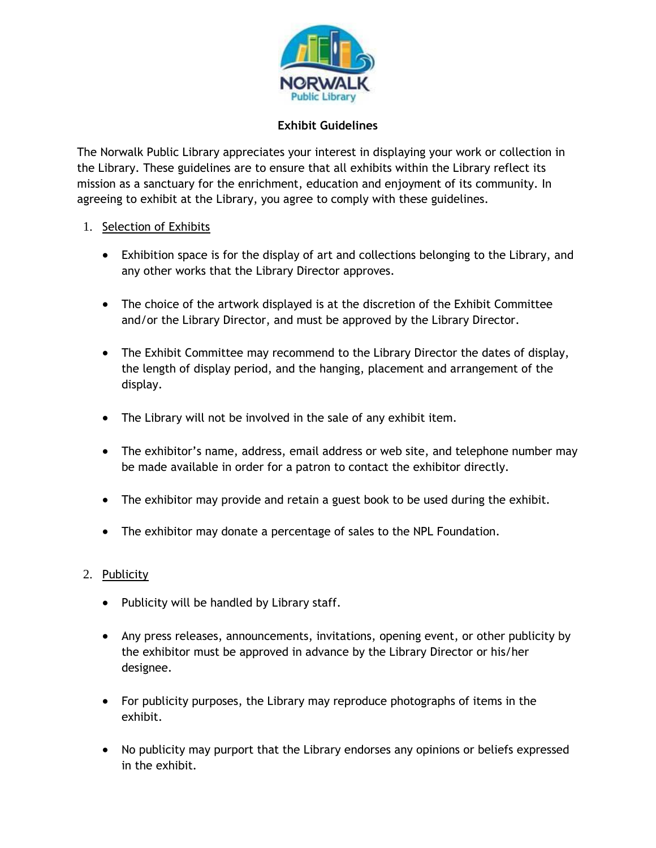

#### **Exhibit Guidelines**

The Norwalk Public Library appreciates your interest in displaying your work or collection in the Library. These guidelines are to ensure that all exhibits within the Library reflect its mission as a sanctuary for the enrichment, education and enjoyment of its community. In agreeing to exhibit at the Library, you agree to comply with these guidelines.

#### 1. Selection of Exhibits

- Exhibition space is for the display of art and collections belonging to the Library, and any other works that the Library Director approves.
- The choice of the artwork displayed is at the discretion of the Exhibit Committee and/or the Library Director, and must be approved by the Library Director.
- The Exhibit Committee may recommend to the Library Director the dates of display, the length of display period, and the hanging, placement and arrangement of the display.
- The Library will not be involved in the sale of any exhibit item.
- The exhibitor's name, address, email address or web site, and telephone number may be made available in order for a patron to contact the exhibitor directly.
- The exhibitor may provide and retain a guest book to be used during the exhibit.
- The exhibitor may donate a percentage of sales to the NPL Foundation.

### 2. Publicity

- Publicity will be handled by Library staff.
- Any press releases, announcements, invitations, opening event, or other publicity by the exhibitor must be approved in advance by the Library Director or his/her designee.
- For publicity purposes, the Library may reproduce photographs of items in the exhibit.
- No publicity may purport that the Library endorses any opinions or beliefs expressed in the exhibit.